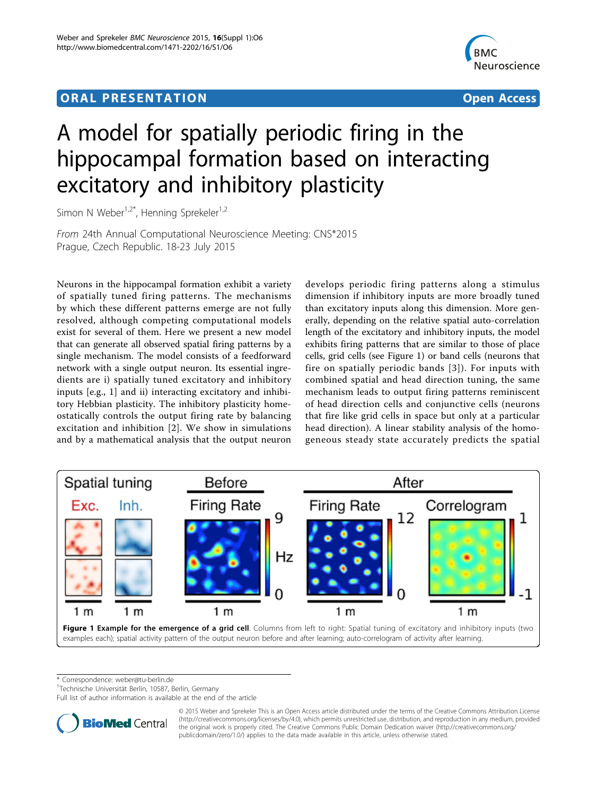## ORA L PR E S EN TA TION OPEN ACCESS OF THE SERVICE OF THE SERVICE OF THE SERVICE OF THE SERVICE OF THE SERVICE



# A model for spatially periodic firing in the hippocampal formation based on interacting excitatory and inhibitory plasticity

Simon N Weber<sup>1,2\*</sup>, Henning Sprekeler<sup>1,2</sup>

From 24th Annual Computational Neuroscience Meeting: CNS\*2015 Prague, Czech Republic. 18-23 July 2015

Neurons in the hippocampal formation exhibit a variety of spatially tuned firing patterns. The mechanisms by which these different patterns emerge are not fully resolved, although competing computational models exist for several of them. Here we present a new model that can generate all observed spatial firing patterns by a single mechanism. The model consists of a feedforward network with a single output neuron. Its essential ingredients are i) spatially tuned excitatory and inhibitory inputs [e.g., 1] and ii) interacting excitatory and inhibitory Hebbian plasticity. The inhibitory plasticity homeostatically controls the output firing rate by balancing excitation and inhibition [[2](#page-1-0)]. We show in simulations and by a mathematical analysis that the output neuron

develops periodic firing patterns along a stimulus dimension if inhibitory inputs are more broadly tuned than excitatory inputs along this dimension. More generally, depending on the relative spatial auto-correlation length of the excitatory and inhibitory inputs, the model exhibits firing patterns that are similar to those of place cells, grid cells (see Figure 1) or band cells (neurons that fire on spatially periodic bands [[3](#page-1-0)]). For inputs with combined spatial and head direction tuning, the same mechanism leads to output firing patterns reminiscent of head direction cells and conjunctive cells (neurons that fire like grid cells in space but only at a particular head direction). A linear stability analysis of the homogeneous steady state accurately predicts the spatial



\* Correspondence: [weber@tu-berlin.de](mailto:weber@tu-berlin.de)

<sup>1</sup>Technische Universität Berlin, 10587, Berlin, Germany

Full list of author information is available at the end of the article



© 2015 Weber and Sprekeler This is an Open Access article distributed under the terms of the Creative Commons Attribution License [\(http://creativecommons.org/licenses/by/4.0](http://creativecommons.org/licenses/by/4.0)), which permits unrestricted use, distribution, and reproduction in any medium, provided the original work is properly cited. The Creative Commons Public Domain Dedication waiver ([http://creativecommons.org/](http://creativecommons.org/publicdomain/zero/1.0/) [publicdomain/zero/1.0/](http://creativecommons.org/publicdomain/zero/1.0/)) applies to the data made available in this article, unless otherwise stated.